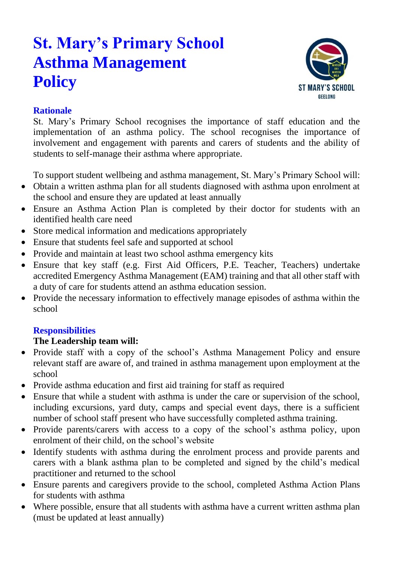# **St. Mary's Primary School Asthma Management Policy**



# **Rationale**

St. Mary's Primary School recognises the importance of staff education and the implementation of an asthma policy. The school recognises the importance of involvement and engagement with parents and carers of students and the ability of students to self-manage their asthma where appropriate.

To support student wellbeing and asthma management, St. Mary's Primary School will:

- Obtain a written asthma plan for all students diagnosed with asthma upon enrolment at the school and ensure they are updated at least annually
- Ensure an Asthma Action Plan is completed by their doctor for students with an identified health care need
- Store medical information and medications appropriately
- Ensure that students feel safe and supported at school
- Provide and maintain at least two school asthma emergency kits
- Ensure that key staff (e.g. First Aid Officers, P.E. Teacher, Teachers) undertake accredited Emergency Asthma Management (EAM) training and that all other staff with a duty of care for students attend an asthma education session.
- Provide the necessary information to effectively manage episodes of asthma within the school

# **Responsibilities**

# **The Leadership team will:**

- Provide staff with a copy of the school's Asthma Management Policy and ensure relevant staff are aware of, and trained in asthma management upon employment at the school
- Provide asthma education and first aid training for staff as required
- Ensure that while a student with asthma is under the care or supervision of the school, including excursions, yard duty, camps and special event days, there is a sufficient number of school staff present who have successfully completed asthma training.
- Provide parents/carers with access to a copy of the school's asthma policy, upon enrolment of their child, on the school's website
- Identify students with asthma during the enrolment process and provide parents and carers with a blank asthma plan to be completed and signed by the child's medical practitioner and returned to the school
- Ensure parents and caregivers provide to the school, completed Asthma Action Plans for students with asthma
- Where possible, ensure that all students with asthma have a current written asthma plan (must be updated at least annually)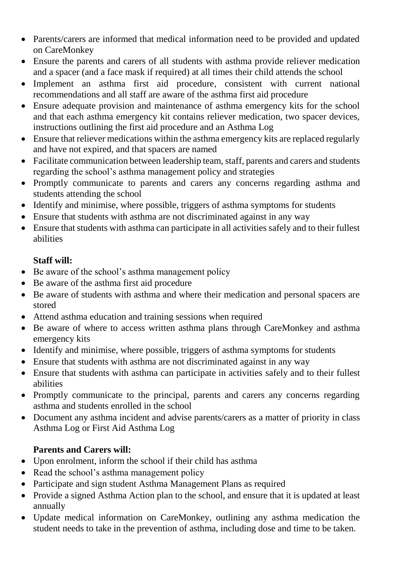- Parents/carers are informed that medical information need to be provided and updated on CareMonkey
- Ensure the parents and carers of all students with asthma provide reliever medication and a spacer (and a face mask if required) at all times their child attends the school
- Implement an asthma first aid procedure, consistent with current national recommendations and all staff are aware of the asthma first aid procedure
- Ensure adequate provision and maintenance of asthma emergency kits for the school and that each asthma emergency kit contains reliever medication, two spacer devices, instructions outlining the first aid procedure and an Asthma Log
- Ensure that reliever medications within the asthma emergency kits are replaced regularly and have not expired, and that spacers are named
- Facilitate communication between leadership team, staff, parents and carers and students regarding the school's asthma management policy and strategies
- Promptly communicate to parents and carers any concerns regarding asthma and students attending the school
- Identify and minimise, where possible, triggers of asthma symptoms for students
- Ensure that students with asthma are not discriminated against in any way
- Ensure that students with asthma can participate in all activities safely and to their fullest abilities

### **Staff will:**

- Be aware of the school's asthma management policy
- Be aware of the asthma first aid procedure
- Be aware of students with asthma and where their medication and personal spacers are stored
- Attend asthma education and training sessions when required
- Be aware of where to access written asthma plans through CareMonkey and asthma emergency kits
- Identify and minimise, where possible, triggers of asthma symptoms for students
- Ensure that students with asthma are not discriminated against in any way
- Ensure that students with asthma can participate in activities safely and to their fullest abilities
- Promptly communicate to the principal, parents and carers any concerns regarding asthma and students enrolled in the school
- Document any asthma incident and advise parents/carers as a matter of priority in class Asthma Log or First Aid Asthma Log

# **Parents and Carers will:**

- Upon enrolment, inform the school if their child has asthma
- Read the school's asthma management policy
- Participate and sign student Asthma Management Plans as required
- Provide a signed Asthma Action plan to the school, and ensure that it is updated at least annually
- Update medical information on CareMonkey, outlining any asthma medication the student needs to take in the prevention of asthma, including dose and time to be taken.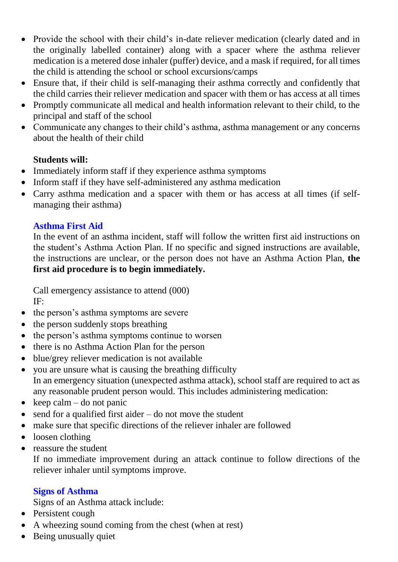- Provide the school with their child's in-date reliever medication (clearly dated and in the originally labelled container) along with a spacer where the asthma reliever medication is a metered dose inhaler (puffer) device, and a mask if required, for all times the child is attending the school or school excursions/camps
- Ensure that, if their child is self-managing their asthma correctly and confidently that the child carries their reliever medication and spacer with them or has access at all times
- Promptly communicate all medical and health information relevant to their child, to the principal and staff of the school
- Communicate any changes to their child's asthma, asthma management or any concerns about the health of their child

#### **Students will:**

- Immediately inform staff if they experience asthma symptoms
- Inform staff if they have self-administered any asthma medication
- Carry asthma medication and a spacer with them or has access at all times (if selfmanaging their asthma)

#### **Asthma First Aid**

In the event of an asthma incident, staff will follow the written first aid instructions on the student's Asthma Action Plan. If no specific and signed instructions are available, the instructions are unclear, or the person does not have an Asthma Action Plan, **the first aid procedure is to begin immediately.**

Call emergency assistance to attend (000) IF:

- the person's asthma symptoms are severe
- the person suddenly stops breathing
- the person's asthma symptoms continue to worsen
- there is no Asthma Action Plan for the person
- blue/grey reliever medication is not available
- you are unsure what is causing the breathing difficulty In an emergency situation (unexpected asthma attack), school staff are required to act as any reasonable prudent person would. This includes administering medication:
- keep calm do not panic
- $\bullet$  send for a qualified first aider do not move the student
- make sure that specific directions of the reliever inhaler are followed
- loosen clothing
- reassure the student

If no immediate improvement during an attack continue to follow directions of the reliever inhaler until symptoms improve.

#### **Signs of Asthma**

Signs of an Asthma attack include:

- Persistent cough
- A wheezing sound coming from the chest (when at rest)
- Being unusually quiet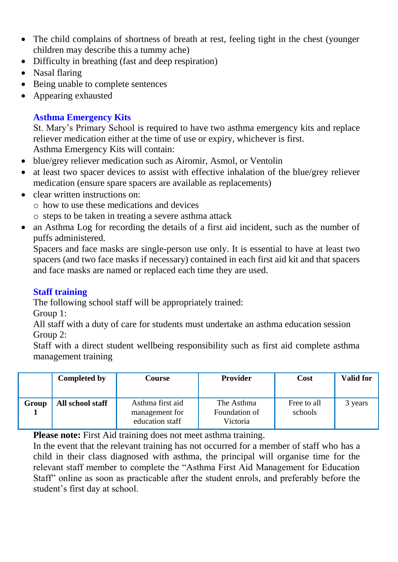- The child complains of shortness of breath at rest, feeling tight in the chest (younger children may describe this a tummy ache)
- Difficulty in breathing (fast and deep respiration)
- Nasal flaring
- Being unable to complete sentences
- Appearing exhausted

# **Asthma Emergency Kits**

St. Mary's Primary School is required to have two asthma emergency kits and replace reliever medication either at the time of use or expiry, whichever is first. Asthma Emergency Kits will contain:

- blue/grey reliever medication such as Airomir, Asmol, or Ventolin
- at least two spacer devices to assist with effective inhalation of the blue/grey reliever medication (ensure spare spacers are available as replacements)
- clear written instructions on:
	- o how to use these medications and devices
	- o steps to be taken in treating a severe asthma attack
- an Asthma Log for recording the details of a first aid incident, such as the number of puffs administered.

Spacers and face masks are single-person use only. It is essential to have at least two spacers (and two face masks if necessary) contained in each first aid kit and that spacers and face masks are named or replaced each time they are used.

# **Staff training**

The following school staff will be appropriately trained:

Group 1:

All staff with a duty of care for students must undertake an asthma education session Group 2:

Staff with a direct student wellbeing responsibility such as first aid complete asthma management training

|       | <b>Completed by</b> | Course                                                | <b>Provider</b>                         | Cost                   | <b>Valid for</b> |
|-------|---------------------|-------------------------------------------------------|-----------------------------------------|------------------------|------------------|
| Group | All school staff    | Asthma first aid<br>management for<br>education staff | The Asthma<br>Foundation of<br>Victoria | Free to all<br>schools | 3 years          |

**Please note:** First Aid training does not meet asthma training.

In the event that the relevant training has not occurred for a member of staff who has a child in their class diagnosed with asthma, the principal will organise time for the relevant staff member to complete the "Asthma First Aid Management for Education Staff" online as soon as practicable after the student enrols, and preferably before the student's first day at school.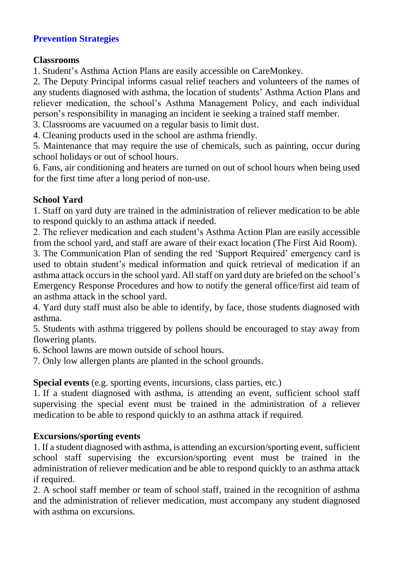### **Prevention Strategies**

#### **Classrooms**

1. Student's Asthma Action Plans are easily accessible on CareMonkey.

2. The Deputy Principal informs casual relief teachers and volunteers of the names of any students diagnosed with asthma, the location of students' Asthma Action Plans and reliever medication, the school's Asthma Management Policy, and each individual person's responsibility in managing an incident ie seeking a trained staff member.

3. Classrooms are vacuumed on a regular basis to limit dust.

4. Cleaning products used in the school are asthma friendly.

5. Maintenance that may require the use of chemicals, such as painting, occur during school holidays or out of school hours.

6. Fans, air conditioning and heaters are turned on out of school hours when being used for the first time after a long period of non-use.

### **School Yard**

1. Staff on yard duty are trained in the administration of reliever medication to be able to respond quickly to an asthma attack if needed.

2. The reliever medication and each student's Asthma Action Plan are easily accessible from the school yard, and staff are aware of their exact location (The First Aid Room).

3. The Communication Plan of sending the red 'Support Required' emergency card is used to obtain student's medical information and quick retrieval of medication if an asthma attack occurs in the school yard. All staff on yard duty are briefed on the school's Emergency Response Procedures and how to notify the general office/first aid team of an asthma attack in the school yard.

4. Yard duty staff must also be able to identify, by face, those students diagnosed with asthma.

5. Students with asthma triggered by pollens should be encouraged to stay away from flowering plants.

6. School lawns are mown outside of school hours.

7. Only low allergen plants are planted in the school grounds.

# **Special events** (e.g. sporting events, incursions, class parties, etc.)

1. If a student diagnosed with asthma, is attending an event, sufficient school staff supervising the special event must be trained in the administration of a reliever medication to be able to respond quickly to an asthma attack if required.

# **Excursions/sporting events**

1. If a student diagnosed with asthma, is attending an excursion/sporting event, sufficient school staff supervising the excursion/sporting event must be trained in the administration of reliever medication and be able to respond quickly to an asthma attack if required.

2. A school staff member or team of school staff, trained in the recognition of asthma and the administration of reliever medication, must accompany any student diagnosed with asthma on excursions.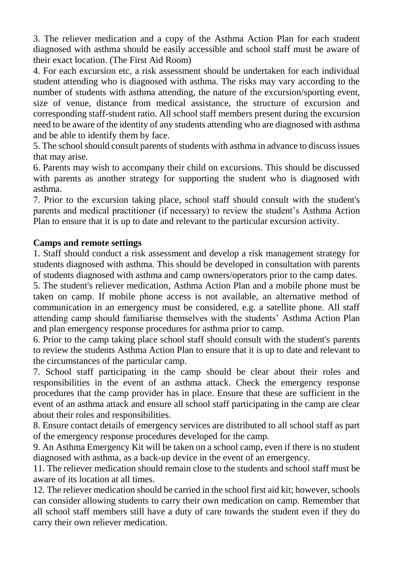3. The reliever medication and a copy of the Asthma Action Plan for each student diagnosed with asthma should be easily accessible and school staff must be aware of their exact location. (The First Aid Room)

4. For each excursion etc, a risk assessment should be undertaken for each individual student attending who is diagnosed with asthma. The risks may vary according to the number of students with asthma attending, the nature of the excursion/sporting event, size of venue, distance from medical assistance, the structure of excursion and corresponding staff-student ratio. All school staff members present during the excursion need to be aware of the identity of any students attending who are diagnosed with asthma and be able to identify them by face.

5. The school should consult parents of students with asthma in advance to discuss issues that may arise.

6. Parents may wish to accompany their child on excursions. This should be discussed with parents as another strategy for supporting the student who is diagnosed with asthma.

7. Prior to the excursion taking place, school staff should consult with the student's parents and medical practitioner (if necessary) to review the student's Asthma Action Plan to ensure that it is up to date and relevant to the particular excursion activity.

#### **Camps and remote settings**

1. Staff should conduct a risk assessment and develop a risk management strategy for students diagnosed with asthma. This should be developed in consultation with parents of students diagnosed with asthma and camp owners/operators prior to the camp dates.

5. The student's reliever medication, Asthma Action Plan and a mobile phone must be taken on camp. If mobile phone access is not available, an alternative method of communication in an emergency must be considered, e.g. a satellite phone. All staff attending camp should familiarise themselves with the students' Asthma Action Plan and plan emergency response procedures for asthma prior to camp.

6. Prior to the camp taking place school staff should consult with the student's parents to review the students Asthma Action Plan to ensure that it is up to date and relevant to the circumstances of the particular camp.

7. School staff participating in the camp should be clear about their roles and responsibilities in the event of an asthma attack. Check the emergency response procedures that the camp provider has in place. Ensure that these are sufficient in the event of an asthma attack and ensure all school staff participating in the camp are clear about their roles and responsibilities.

8. Ensure contact details of emergency services are distributed to all school staff as part of the emergency response procedures developed for the camp.

9. An Asthma Emergency Kit will be taken on a school camp, even if there is no student diagnosed with asthma, as a back-up device in the event of an emergency.

11. The reliever medication should remain close to the students and school staff must be aware of its location at all times.

12. The reliever medication should be carried in the school first aid kit; however, schools can consider allowing students to carry their own medication on camp. Remember that all school staff members still have a duty of care towards the student even if they do carry their own reliever medication.